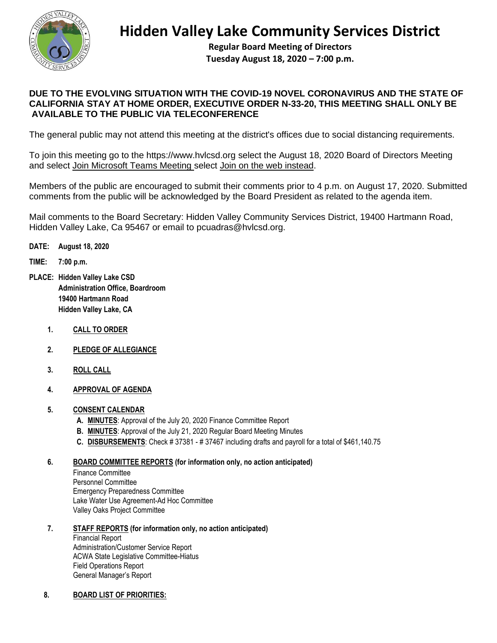

## **Hidden Valley Lake Community Services District**

**Regular Board Meeting of Directors Tuesday August 18, 2020 – 7:00 p.m.**

## **DUE TO THE EVOLVING SITUATION WITH THE COVID-19 NOVEL CORONAVIRUS AND THE STATE OF CALIFORNIA STAY AT HOME ORDER, EXECUTIVE ORDER N-33-20, THIS MEETING SHALL ONLY BE AVAILABLE TO THE PUBLIC VIA TELECONFERENCE**

The general public may not attend this meeting at the district's offices due to social distancing requirements.

To join this meeting go to the [https://www.hvlcsd.org](https://www.hvlcsd.org/) select the August 18, 2020 Board of Directors Meeting and select Join Microsoft Teams Meeting select Join on the web instead.

Members of the public are encouraged to submit their comments prior to 4 p.m. on August 17, 2020. Submitted comments from the public will be acknowledged by the Board President as related to the agenda item.

Mail comments to the Board Secretary: Hidden Valley Community Services District, 19400 Hartmann Road, Hidden Valley Lake, Ca 95467 or email to pcuadras@hvlcsd.org.

- **DATE: August 18, 2020**
- **TIME: 7:00 p.m.**
- **PLACE: Hidden Valley Lake CSD Administration Office, Boardroom 19400 Hartmann Road Hidden Valley Lake, CA** 
	- **1. CALL TO ORDER**
	- **2. PLEDGE OF ALLEGIANCE**
	- **3. ROLL CALL**
	- **4. APPROVAL OF AGENDA**

## **5. CONSENT CALENDAR**

- **A. MINUTES**: Approval of the July 20, 2020 Finance Committee Report
- **B. MINUTES**: Approval of the July 21, 2020 Regular Board Meeting Minutes
- **C. DISBURSEMENTS**: Check # 37381 # 37467 including drafts and payroll for a total of \$461,140.75

## **6. BOARD COMMITTEE REPORTS (for information only, no action anticipated)**

Finance Committee Personnel Committee Emergency Preparedness Committee Lake Water Use Agreement-Ad Hoc Committee Valley Oaks Project Committee

- **7. STAFF REPORTS (for information only, no action anticipated)** Financial Report Administration/Customer Service Report ACWA State Legislative Committee-Hiatus Field Operations Report General Manager's Report
- **8. BOARD LIST OF PRIORITIES:**